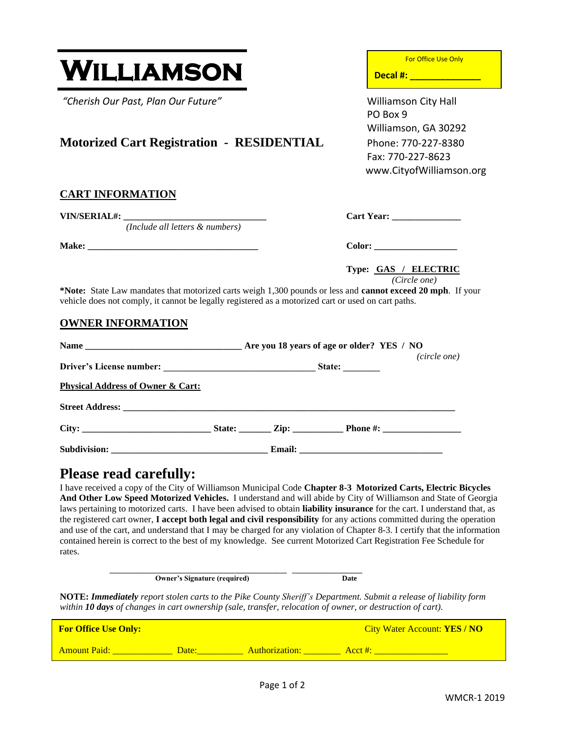WMCR-1 2019

# WILLIAMSON

*"Cherish Our Past, Plan Our Future"* Williamson City Hall

## Motorized Cart Registration - RESIDENTIAL Phone: 770-227-8380

### **CART INFORMATION**

**VIN/SERIAL#:**  $\qquad \qquad \text{Cart Year:}$ 

*(Include all letters & numbers)* 

**Make: \_\_\_\_\_\_\_\_\_\_\_\_\_\_\_\_\_\_\_\_\_\_\_\_\_\_\_\_\_\_\_\_\_\_\_\_\_ Color: \_\_\_\_\_\_\_\_\_\_\_\_\_\_\_\_\_\_**

**Type: GAS / ELECTRIC**

*(Circle one)*

**\*Note:** State Law mandates that motorized carts weigh 1,300 pounds or less and **cannot exceed 20 mph**. If your vehicle does not comply, it cannot be legally registered as a motorized cart or used on cart paths.

#### **OWNER INFORMATION**

|                                              | (circle one) |  |  |  |
|----------------------------------------------|--------------|--|--|--|
|                                              |              |  |  |  |
| <b>Physical Address of Owner &amp; Cart:</b> |              |  |  |  |
|                                              |              |  |  |  |
|                                              |              |  |  |  |
|                                              |              |  |  |  |

# **Please read carefully:**

I have received a copy of the City of Williamson Municipal Code **Chapter 8-3 Motorized Carts, Electric Bicycles And Other Low Speed Motorized Vehicles.** I understand and will abide by City of Williamson and State of Georgia laws pertaining to motorized carts. I have been advised to obtain **liability insurance** for the cart. I understand that, as the registered cart owner, **I accept both legal and civil responsibility** for any actions committed during the operation and use of the cart, and understand that I may be charged for any violation of Chapter 8-3. I certify that the information contained herein is correct to the best of my knowledge. See current Motorized Cart Registration Fee Schedule for rates.

> **\_\_\_\_\_\_\_\_\_\_\_\_\_\_\_\_\_\_\_\_\_\_\_\_\_\_\_\_\_\_\_\_\_\_\_\_\_\_\_\_\_\_\_\_\_\_\_\_ \_\_\_\_\_\_\_\_\_\_\_\_\_\_\_\_\_\_\_ Owner's Signature (required)** Date

**NOTE:** *Immediately report stolen carts to the Pike County Sheriff's Department. Submit a release of liability form within 10 days of changes in cart ownership (sale, transfer, relocation of owner, or destruction of cart).*

| <b>For Office Use Only:</b> |       |                | <b>City Water Account: YES/NO</b> |
|-----------------------------|-------|----------------|-----------------------------------|
| <b>Amount Paid:</b>         | Date: | Authorization: | Acct #:                           |

For Office Use Only

**Decal #: \_\_\_\_\_\_\_\_\_\_\_\_\_\_**

PO Box 9 Williamson, GA 30292 Fax: 770-227-8623 www.CityofWilliamson.org